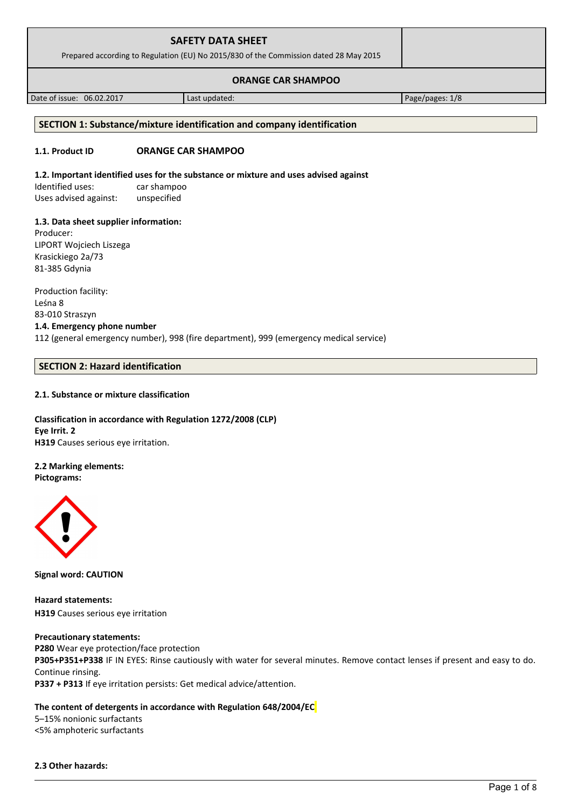| <b>SAFETY DATA SHEET</b><br>Prepared according to Regulation (EU) No 2015/830 of the Commission dated 28 May 2015 |               |                 |
|-------------------------------------------------------------------------------------------------------------------|---------------|-----------------|
| <b>ORANGE CAR SHAMPOO</b>                                                                                         |               |                 |
| Date of issue: 06.02.2017                                                                                         | Last updated: | Page/pages: 1/8 |

# **SECTION 1: Substance/mixture identification and company identification**

#### **1.1. Product ID ORANGE CAR SHAMPOO**

#### **1.2. Important identified uses for the substance or mixture and uses advised against**

Identified uses: car shampoo Uses advised against: unspecified

#### **1.3. Data sheet supplier information:**

Producer: LIPORT Wojciech Liszega Krasickiego 2a/73 81-385 Gdynia

Production facility: Leśna 8 83-010 Straszyn **1.4. Emergency phone number** 112 (general emergency number), 998 (fire department), 999 (emergency medical service)

#### **SECTION 2: Hazard identification**

#### **2.1. Substance or mixture classification**

# **Classification in accordance with Regulation 1272/2008 (CLP) Eye Irrit. 2 H319** Causes serious eye irritation.

**2.2 Marking elements: Pictograms:**



**Signal word: CAUTION**

**Hazard statements: H319** Causes serious eye irritation

#### **Precautionary statements:**

**P280** Wear eye protection/face protection **P305+P351+P338** IF IN EYES: Rinse cautiously with water for several minutes. Remove contact lenses if present and easy to do. Continue rinsing. **P337 + P313** If eye irritation persists: Get medical advice/attention.

#### **The content of detergents in accordance with Regulation 648/2004/EC**

5–15% nonionic surfactants <5% amphoteric surfactants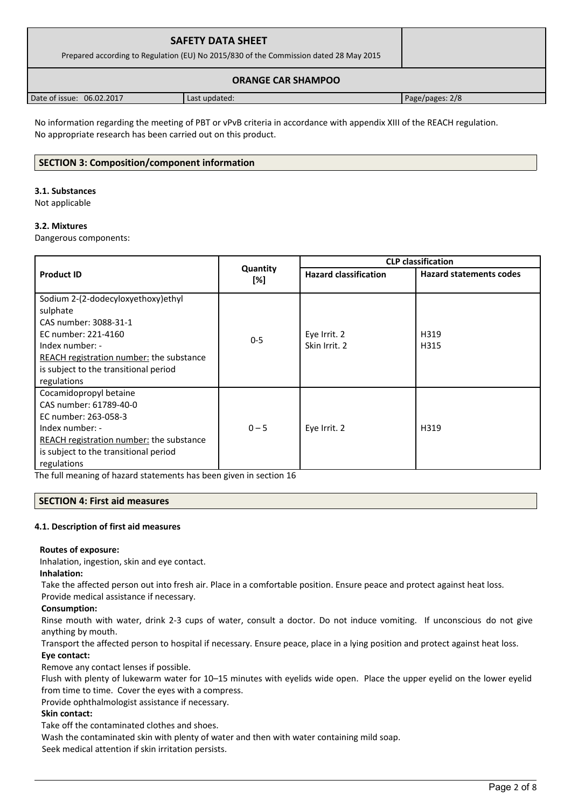| <b>SAFETY DATA SHEET</b><br>Prepared according to Regulation (EU) No 2015/830 of the Commission dated 28 May 2015 |               |                 |
|-------------------------------------------------------------------------------------------------------------------|---------------|-----------------|
| <b>ORANGE CAR SHAMPOO</b>                                                                                         |               |                 |
| Date of issue: 06.02.2017                                                                                         | Last updated: | Page/pages: 2/8 |

No information regarding the meeting of PBT or vPvB criteria in accordance with appendix XIII of the REACH regulation. No appropriate research has been carried out on this product.

# **SECTION 3: Composition/component information**

#### **3.1. Substances**

Not applicable

## **3.2. Mixtures**

Dangerous components:

|                                                 |                 | <b>CLP classification</b>    |                                |  |
|-------------------------------------------------|-----------------|------------------------------|--------------------------------|--|
| <b>Product ID</b>                               | Quantity<br>[%] | <b>Hazard classification</b> | <b>Hazard statements codes</b> |  |
| Sodium 2-(2-dodecyloxyethoxy)ethyl              |                 |                              |                                |  |
| sulphate                                        |                 |                              |                                |  |
| CAS number: 3088-31-1                           |                 |                              |                                |  |
| EC number: 221-4160                             | $0 - 5$         | Eye Irrit. 2                 | H319                           |  |
| Index number: -                                 |                 | Skin Irrit. 2                | H315                           |  |
| REACH registration number: the substance        |                 |                              |                                |  |
| is subject to the transitional period           |                 |                              |                                |  |
| regulations                                     |                 |                              |                                |  |
| Cocamidopropyl betaine                          |                 |                              |                                |  |
| CAS number: 61789-40-0                          |                 |                              |                                |  |
| EC number: 263-058-3                            |                 |                              |                                |  |
| Index number: -                                 | $0 - 5$         | Eye Irrit. 2                 | H319                           |  |
| <b>REACH registration number:</b> the substance |                 |                              |                                |  |
| is subject to the transitional period           |                 |                              |                                |  |
| regulations                                     |                 |                              |                                |  |

The full meaning of hazard statements has been given in section 16

## **SECTION 4: First aid measures**

## **4.1. Description of first aid measures**

## **Routes of exposure:**

Inhalation, ingestion, skin and eye contact.

## **Inhalation:**

Take the affected person out into fresh air. Place in a comfortable position. Ensure peace and protect against heat loss.

Provide medical assistance if necessary.

## **Consumption:**

Rinse mouth with water, drink 2-3 cups of water, consult a doctor. Do not induce vomiting. If unconscious do not give anything by mouth.

Transport the affected person to hospital if necessary. Ensure peace, place in a lying position and protect against heat loss. **Eye contact:**

Remove any contact lenses if possible.

Flush with plenty of lukewarm water for 10–15 minutes with eyelids wide open. Place the upper eyelid on the lower eyelid from time to time. Cover the eyes with a compress.

Provide ophthalmologist assistance if necessary.

## **Skin contact:**

Take off the contaminated clothes and shoes.

Wash the contaminated skin with plenty of water and then with water containing mild soap.

Seek medical attention if skin irritation persists.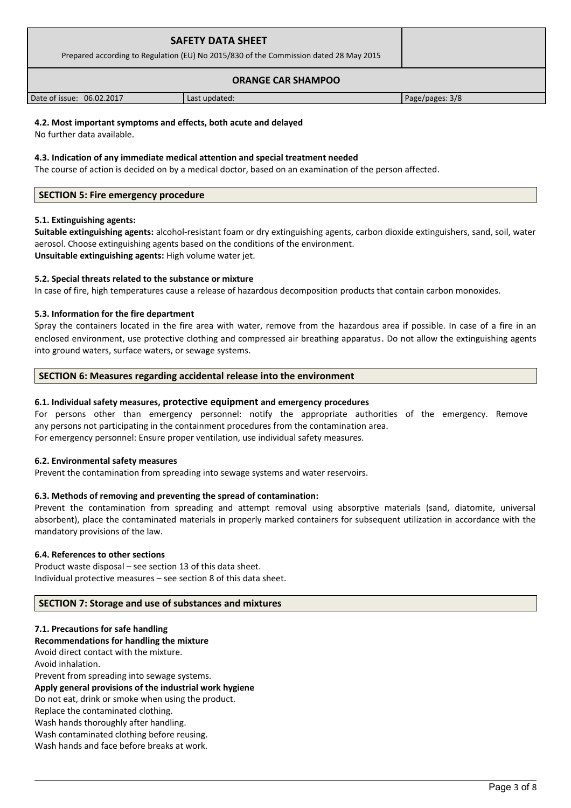| <b>SAFETY DATA SHEET</b><br>Prepared according to Regulation (EU) No 2015/830 of the Commission dated 28 May 2015 |               |                 |
|-------------------------------------------------------------------------------------------------------------------|---------------|-----------------|
| <b>ORANGE CAR SHAMPOO</b>                                                                                         |               |                 |
| Date of issue: 06.02.2017                                                                                         | Last updated: | Page/pages: 3/8 |

# **4.2. Most important symptoms and effects, both acute and delayed**

No further data available.

#### **4.3. Indication of any immediate medical attention and special treatment needed**

The course of action is decided on by a medical doctor, based on an examination of the person affected.

## **SECTION 5: Fire emergency procedure**

## **5.1. Extinguishing agents:**

**Suitable extinguishing agents:** alcohol-resistant foam or dry extinguishing agents, carbon dioxide extinguishers, sand, soil, water aerosol. Choose extinguishing agents based on the conditions of the environment. **Unsuitable extinguishing agents:** High volume water jet.

## **5.2. Special threats related to the substance or mixture**

In case of fire, high temperatures cause a release of hazardous decomposition products that contain carbon monoxides.

## **5.3. Information for the fire department**

Spray the containers located in the fire area with water, remove from the hazardous area if possible. In case of a fire in an enclosed environment, use protective clothing and compressed air breathing apparatus. Do not allow the extinguishing agents into ground waters, surface waters, or sewage systems.

## **SECTION 6: Measures regarding accidental release into the environment**

#### **6.1. Individual safety measures, protective equipment and emergency procedures**

For persons other than emergency personnel: notify the appropriate authorities of the emergency. Remove any persons not participating in the containment procedures from the contamination area. For emergency personnel: Ensure proper ventilation, use individual safety measures.

#### **6.2. Environmental safety measures**

Prevent the contamination from spreading into sewage systems and water reservoirs.

## **6.3. Methods of removing and preventing the spread of contamination:**

Prevent the contamination from spreading and attempt removal using absorptive materials (sand, diatomite, universal absorbent), place the contaminated materials in properly marked containers for subsequent utilization in accordance with the mandatory provisions of the law.

#### **6.4. References to other sections**

Product waste disposal – see section 13 of this data sheet. Individual protective measures – see section 8 of this data sheet.

#### **SECTION 7: Storage and use of substances and mixtures**

#### **7.1. Precautions for safe handling**

**Recommendations for handling the mixture** 

Avoid direct contact with the mixture. Avoid inhalation. Prevent from spreading into sewage systems. **Apply general provisions of the industrial work hygiene**  Do not eat, drink or smoke when using the product. Replace the contaminated clothing. Wash hands thoroughly after handling. Wash contaminated clothing before reusing. Wash hands and face before breaks at work.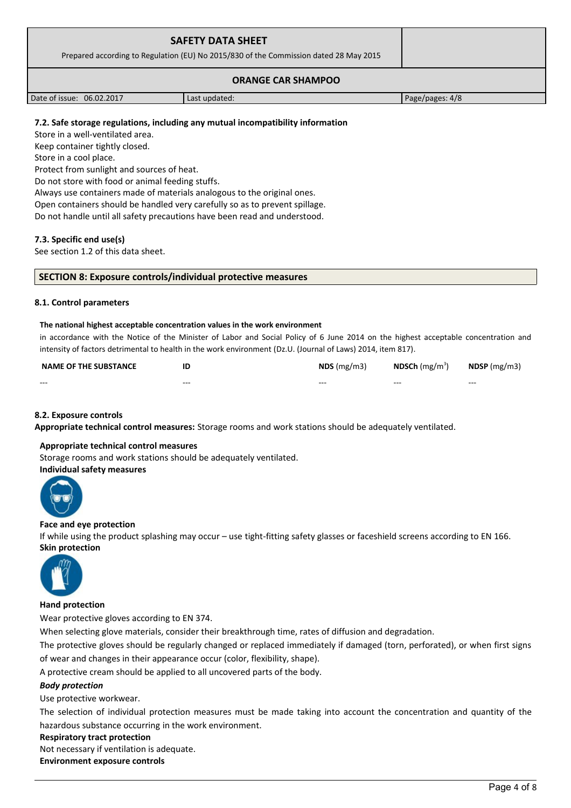| <b>SAFETY DATA SHEET</b><br>Prepared according to Regulation (EU) No 2015/830 of the Commission dated 28 May 2015 |               |                 |
|-------------------------------------------------------------------------------------------------------------------|---------------|-----------------|
|                                                                                                                   |               |                 |
| Date of issue: 06.02.2017                                                                                         | Last updated: | Page/pages: 4/8 |

# **7.2. Safe storage regulations, including any mutual incompatibility information**

Store in a well-ventilated area.

Keep container tightly closed.

Store in a cool place.

Protect from sunlight and sources of heat.

Do not store with food or animal feeding stuffs.

Always use containers made of materials analogous to the original ones.

Open containers should be handled very carefully so as to prevent spillage.

Do not handle until all safety precautions have been read and understood.

## **7.3. Specific end use(s)**

See section 1.2 of this data sheet.

#### **SECTION 8: Exposure controls/individual protective measures**

#### **8.1. Control parameters**

#### **The national highest acceptable concentration values in the work environment**

in accordance with the Notice of the Minister of Labor and Social Policy of 6 June 2014 on the highest acceptable concentration and intensity of factors detrimental to health in the work environment (Dz.U. (Journal of Laws) 2014, item 817).

| <b>NAME OF THE SUBSTANCE</b> | ID      | $NDS$ (mg/m3) | <b>NDSCh</b> (mg/m <sup>3</sup> ) | $N$ DSP (mg/m3) |
|------------------------------|---------|---------------|-----------------------------------|-----------------|
| $- - -$                      | $- - -$ | $- - -$       | $- - -$                           | $- - -$         |

## **8.2. Exposure controls**

**Appropriate technical control measures:** Storage rooms and work stations should be adequately ventilated.

## **Appropriate technical control measures**

Storage rooms and work stations should be adequately ventilated.

## **Individual safety measures**



#### **Face and eye protection**

If while using the product splashing may occur – use tight-fitting safety glasses or faceshield screens according to EN 166. **Skin protection** 



## **Hand protection**

Wear protective gloves according to EN 374.

When selecting glove materials, consider their breakthrough time, rates of diffusion and degradation.

The protective gloves should be regularly changed or replaced immediately if damaged (torn, perforated), or when first signs of wear and changes in their appearance occur (color, flexibility, shape).

A protective cream should be applied to all uncovered parts of the body.

## *Body protection*

Use protective workwear.

The selection of individual protection measures must be made taking into account the concentration and quantity of the hazardous substance occurring in the work environment.

#### **Respiratory tract protection**

Not necessary if ventilation is adequate.

**Environment exposure controls**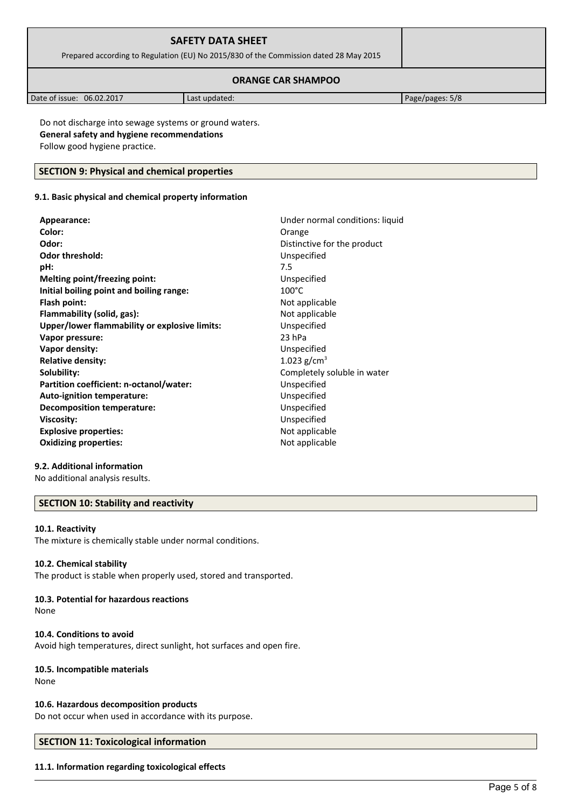| <b>SAFETY DATA SHEET</b><br>Prepared according to Regulation (EU) No 2015/830 of the Commission dated 28 May 2015 |  |  |
|-------------------------------------------------------------------------------------------------------------------|--|--|
| <b>ORANGE CAR SHAMPOO</b>                                                                                         |  |  |

| 06.02.2017<br>Date of issue: | Last updated: | Page/pages: 5/8 |
|------------------------------|---------------|-----------------|

Do not discharge into sewage systems or ground waters. **General safety and hygiene recommendations** Follow good hygiene practice.

# **SECTION 9: Physical and chemical properties**

# **9.1. Basic physical and chemical property information**

| Appearance:                                   | Under normal conditions: liquid |
|-----------------------------------------------|---------------------------------|
| Color:                                        | Orange                          |
| Odor:                                         | Distinctive for the product     |
| <b>Odor threshold:</b>                        | Unspecified                     |
| pH:                                           | 7.5                             |
| Melting point/freezing point:                 | Unspecified                     |
| Initial boiling point and boiling range:      | $100^{\circ}$ C                 |
| Flash point:                                  | Not applicable                  |
| Flammability (solid, gas):                    | Not applicable                  |
| Upper/lower flammability or explosive limits: | Unspecified                     |
| Vapor pressure:                               | 23 hPa                          |
| Vapor density:                                | Unspecified                     |
| <b>Relative density:</b>                      | 1.023 $g/cm^{3}$                |
| Solubility:                                   | Completely soluble in water     |
| Partition coefficient: n-octanol/water:       | Unspecified                     |
| Auto-ignition temperature:                    | Unspecified                     |
| Decomposition temperature:                    | Unspecified                     |
| Viscosity:                                    | Unspecified                     |
| <b>Explosive properties:</b>                  | Not applicable                  |
| <b>Oxidizing properties:</b>                  | Not applicable                  |
|                                               |                                 |

# **9.2. Additional information**

No additional analysis results.

# **SECTION 10: Stability and reactivity**

#### **10.1. Reactivity**

The mixture is chemically stable under normal conditions.

# **10.2. Chemical stability**

The product is stable when properly used, stored and transported.

# **10.3. Potential for hazardous reactions**

None

## **10.4. Conditions to avoid**

Avoid high temperatures, direct sunlight, hot surfaces and open fire.

## **10.5. Incompatible materials**

None

## **10.6. Hazardous decomposition products**

Do not occur when used in accordance with its purpose.

# **SECTION 11: Toxicological information**

## **11.1. Information regarding toxicological effects**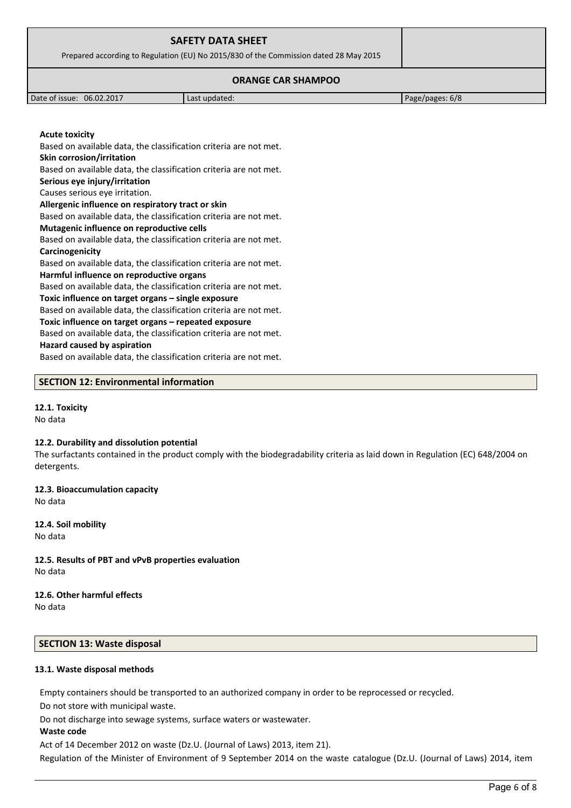| <b>SAFETY DATA SHEET</b><br>Prepared according to Regulation (EU) No 2015/830 of the Commission dated 28 May 2015 |               |                 |
|-------------------------------------------------------------------------------------------------------------------|---------------|-----------------|
|                                                                                                                   |               |                 |
| Date of issue: 06.02.2017                                                                                         | Last updated: | Page/pages: 6/8 |

**SECTION 12: Environmental information**

Based on available data, the classification criteria are not met.

Based on available data, the classification criteria are not met.

Based on available data, the classification criteria are not met.

Based on available data, the classification criteria are not met.

Based on available data, the classification criteria are not met.

Based on available data, the classification criteria are not met.

Based on available data, the classification criteria are not met.

Based on available data, the classification criteria are not met.

Based on available data, the classification criteria are not met.

**Allergenic influence on respiratory tract or skin**

**Mutagenic influence on reproductive cells**

**Harmful influence on reproductive organs**

**Toxic influence on target organs – single exposure**

**Toxic influence on target organs – repeated exposure**

## **12.1. Toxicity**

**Acute toxicity**

**Carcinogenicity**

**Skin corrosion/irritation**

**Serious eye injury/irritation** Causes serious eye irritation.

No data

#### **12.2. Durability and dissolution potential**

The surfactants contained in the product comply with the biodegradability criteria as laid down in Regulation (EC) 648/2004 on detergents.

**12.3. Bioaccumulation capacity** No data

**Hazard caused by aspiration**

**12.4. Soil mobility** No data

**12.5. Results of PBT and vPvB properties evaluation** No data

# **12.6. Other harmful effects**

No data

# **SECTION 13: Waste disposal**

#### **13.1. Waste disposal methods**

Empty containers should be transported to an authorized company in order to be reprocessed or recycled.

Do not store with municipal waste.

Do not discharge into sewage systems, surface waters or wastewater.

## **Waste code**

Act of 14 December 2012 on waste (Dz.U. (Journal of Laws) 2013, item 21).

Regulation of the Minister of Environment of 9 September 2014 on the waste catalogue (Dz.U. (Journal of Laws) 2014, item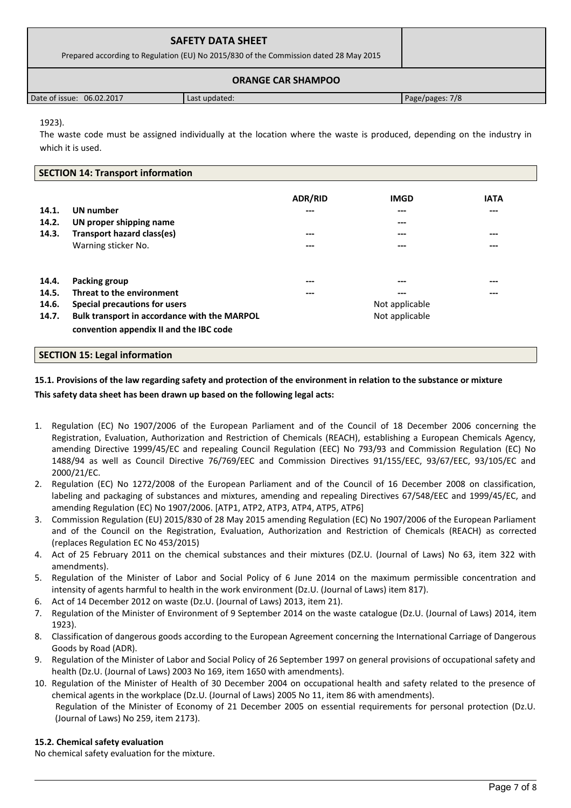| <b>SAFETY DATA SHEET</b><br>Prepared according to Regulation (EU) No 2015/830 of the Commission dated 28 May 2015 |               |                 |
|-------------------------------------------------------------------------------------------------------------------|---------------|-----------------|
|                                                                                                                   |               |                 |
| Date of issue: 06.02.2017                                                                                         | Last updated: | Page/pages: 7/8 |

1923).

The waste code must be assigned individually at the location where the waste is produced, depending on the industry in which it is used.

# **SECTION 14: Transport information**

| 14.1.<br>14.2.<br>14.3.          | UN number<br>UN proper shipping name<br>Transport hazard class(es)<br>Warning sticker No.                                                                              | <b>ADR/RID</b><br>---<br>$---$<br>--- | <b>IMGD</b><br>---<br>$---$<br>---<br>---      | <b>IATA</b><br>---<br>$---$<br>--- |
|----------------------------------|------------------------------------------------------------------------------------------------------------------------------------------------------------------------|---------------------------------------|------------------------------------------------|------------------------------------|
| 14.4.<br>14.5.<br>14.6.<br>14.7. | Packing group<br>Threat to the environment<br>Special precautions for users<br>Bulk transport in accordance with the MARPOL<br>convention appendix II and the IBC code | ---<br>---                            | ---<br>---<br>Not applicable<br>Not applicable | ---<br>---                         |

# **SECTION 15: Legal information**

# **15.1. Provisions of the law regarding safety and protection of the environment in relation to the substance or mixture This safety data sheet has been drawn up based on the following legal acts:**

- 1. Regulation (EC) No 1907/2006 of the European Parliament and of the Council of 18 December 2006 concerning the Registration, Evaluation, Authorization and Restriction of Chemicals (REACH), establishing a European Chemicals Agency, amending Directive 1999/45/EC and repealing Council Regulation (EEC) No 793/93 and Commission Regulation (EC) No 1488/94 as well as Council Directive 76/769/EEC and Commission Directives 91/155/EEC, 93/67/EEC, 93/105/EC and 2000/21/EC.
- 2. Regulation (EC) No 1272/2008 of the European Parliament and of the Council of 16 December 2008 on classification, labeling and packaging of substances and mixtures, amending and repealing Directives 67/548/EEC and 1999/45/EC, and amending Regulation (EC) No 1907/2006. [ATP1, ATP2, ATP3, ATP4, ATP5, ATP6]
- 3. Commission Regulation (EU) 2015/830 of 28 May 2015 amending Regulation (EC) No 1907/2006 of the European Parliament and of the Council on the Registration, Evaluation, Authorization and Restriction of Chemicals (REACH) as corrected (replaces Regulation EC No 453/2015)
- 4. Act of 25 February 2011 on the chemical substances and their mixtures (DZ.U. (Journal of Laws) No 63, item 322 with amendments).
- 5. Regulation of the Minister of Labor and Social Policy of 6 June 2014 on the maximum permissible concentration and intensity of agents harmful to health in the work environment (Dz.U. (Journal of Laws) item 817).
- 6. Act of 14 December 2012 on waste (Dz.U. (Journal of Laws) 2013, item 21).
- 7. Regulation of the Minister of Environment of 9 September 2014 on the waste catalogue (Dz.U. (Journal of Laws) 2014, item 1923).
- 8. Classification of dangerous goods according to the European Agreement concerning the International Carriage of Dangerous Goods by Road (ADR).
- 9. Regulation of the Minister of Labor and Social Policy of 26 September 1997 on general provisions of occupational safety and health (Dz.U. (Journal of Laws) 2003 No 169, item 1650 with amendments).
- 10. Regulation of the Minister of Health of 30 December 2004 on occupational health and safety related to the presence of chemical agents in the workplace (Dz.U. (Journal of Laws) 2005 No 11, item 86 with amendments). Regulation of the Minister of Economy of 21 December 2005 on essential requirements for personal protection (Dz.U. (Journal of Laws) No 259, item 2173).

# **15.2. Chemical safety evaluation**

No chemical safety evaluation for the mixture.